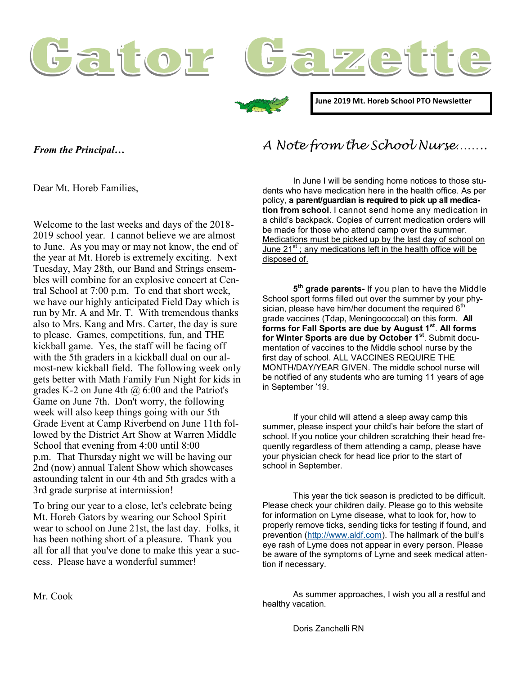





**June 2019 Mt. Horeb School PTO Newsletter**

*From the Principal…* 

*A Note from the School Nurse……..*

Dear Mt. Horeb Families,

Welcome to the last weeks and days of the 2018- 2019 school year. I cannot believe we are almost to June. As you may or may not know, the end of the year at Mt. Horeb is extremely exciting. Next Tuesday, May 28th, our Band and Strings ensembles will combine for an explosive concert at Central School at 7:00 p.m. To end that short week, we have our highly anticipated Field Day which is run by Mr. A and Mr. T. With tremendous thanks also to Mrs. Kang and Mrs. Carter, the day is sure to please. Games, competitions, fun, and THE kickball game. Yes, the staff will be facing off with the 5th graders in a kickball dual on our almost-new kickball field. The following week only gets better with Math Family Fun Night for kids in grades K-2 on June 4th  $\omega$  6:00 and the Patriot's Game on June 7th. Don't worry, the following week will also keep things going with our 5th Grade Event at Camp Riverbend on June 11th followed by the District Art Show at Warren Middle School that evening from 4:00 until 8:00 p.m. That Thursday night we will be having our 2nd (now) annual Talent Show which showcases astounding talent in our 4th and 5th grades with a 3rd grade surprise at intermission!

To bring our year to a close, let's celebrate being Mt. Horeb Gators by wearing our School Spirit wear to school on June 21st, the last day. Folks, it has been nothing short of a pleasure. Thank you all for all that you've done to make this year a success. Please have a wonderful summer!

In June I will be sending home notices to those students who have medication here in the health office. As per policy, **a parent/guardian is required to pick up all medication from school**. I cannot send home any medication in a child's backpack. Copies of current medication orders will be made for those who attend camp over the summer. Medications must be picked up by the last day of school on June  $21^{st}$ ; any medications left in the health office will be disposed of.

**5 th grade parents-** If you plan to have the Middle School sport forms filled out over the summer by your physician, please have him/her document the required  $6<sup>th</sup>$ grade vaccines (Tdap, Meningococcal) on this form. **All forms for Fall Sports are due by August 1st** . **All forms for Winter Sports are due by October 1st**. Submit documentation of vaccines to the Middle school nurse by the first day of school. ALL VACCINES REQUIRE THE MONTH/DAY/YEAR GIVEN. The middle school nurse will be notified of any students who are turning 11 years of age in September '19.

If your child will attend a sleep away camp this summer, please inspect your child's hair before the start of school. If you notice your children scratching their head frequently regardless of them attending a camp, please have your physician check for head lice prior to the start of school in September.

This year the tick season is predicted to be difficult. Please check your children daily. Please go to this website for information on Lyme disease, what to look for, how to properly remove ticks, sending ticks for testing if found, and prevention ([http://www.aldf.com\).](http://www.aldf.com) The hallmark of the bull's eye rash of Lyme does not appear in every person. Please be aware of the symptoms of Lyme and seek medical attention if necessary.

As summer approaches, I wish you all a restful and healthy vacation.

Mr. Cook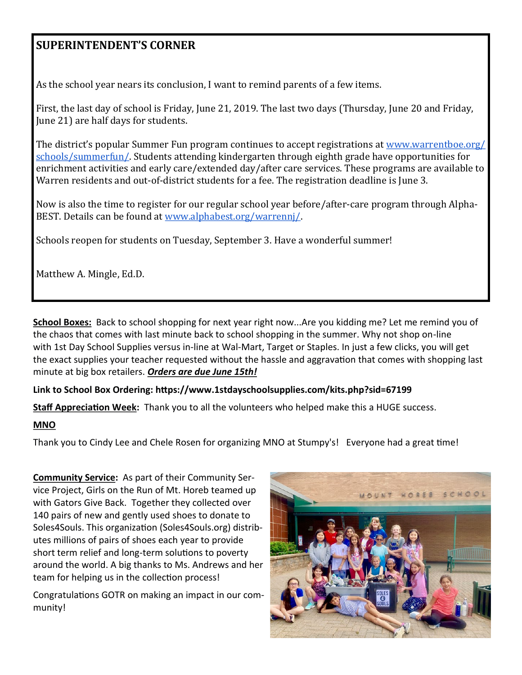## **SUPERINTENDENT'S CORNER**

As the school year nears its conclusion, I want to remind parents of a few items.

First, the last day of school is Friday, June 21, 2019. The last two days (Thursday, June 20 and Friday, June 21) are half days for students.

The district's popular Summer Fun program continues to accept registrations at [www.warrentboe.org/](http://www.warrentboe.org/schools/summerfun/) [schools/summerfun/.](http://www.warrentboe.org/schools/summerfun/) Students attending kindergarten through eighth grade have opportunities for enrichment activities and early care/extended day/after care services. These programs are available to Warren residents and out-of-district students for a fee. The registration deadline is June 3.

Now is also the time to register for our regular school year before/after-care program through Alpha-BEST. Details can be found at [www.alphabest.org/warrennj/.](http://www.alphabest.org/warrennj/)

Schools reopen for students on Tuesday, September 3. Have a wonderful summer!

Matthew A. Mingle, Ed.D.

**School Boxes:** Back to school shopping for next year right now...Are you kidding me? Let me remind you of the chaos that comes with last minute back to school shopping in the summer. Why not shop on-line with 1st Day School Supplies versus in-line at Wal-Mart, Target or Staples. In just a few clicks, you will get the exact supplies your teacher requested without the hassle and aggravation that comes with shopping last minute at big box retailers. *Orders are due June 15th!*

**Link to School Box Ordering: https://www.1stdayschoolsupplies.com/kits.php?sid=67199**

**Staff Appreciation Week:** Thank you to all the volunteers who helped make this a HUGE success.

## **MNO**

Thank you to Cindy Lee and Chele Rosen for organizing MNO at Stumpy's! Everyone had a great time!

**Community Service:** As part of their Community Service Project, Girls on the Run of Mt. Horeb teamed up with Gators Give Back. Together they collected over 140 pairs of new and gently used shoes to donate to Soles4Souls. This organization (Soles4Souls.org) distributes millions of pairs of shoes each year to provide short term relief and long-term solutions to poverty around the world. A big thanks to Ms. Andrews and her team for helping us in the collection process!

Congratulations GOTR on making an impact in our community!

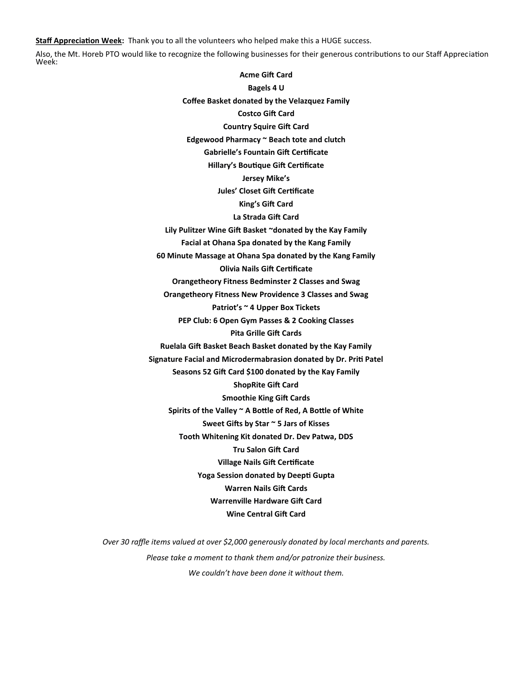**Staff Appreciation Week:** Thank you to all the volunteers who helped make this a HUGE success.

Also, the Mt. Horeb PTO would like to recognize the following businesses for their generous contributions to our Staff Appreciation Week:

> **Acme Gift Card Bagels 4 U Coffee Basket donated by the Velazquez Family Costco Gift Card Country Squire Gift Card Edgewood Pharmacy ~ Beach tote and clutch Gabrielle's Fountain Gift Certificate Hillary's Boutique Gift Certificate Jersey Mike's Jules' Closet Gift Certificate King's Gift Card La Strada Gift Card Lily Pulitzer Wine Gift Basket ~donated by the Kay Family Facial at Ohana Spa donated by the Kang Family 60 Minute Massage at Ohana Spa donated by the Kang Family Olivia Nails Gift Certificate Orangetheory Fitness Bedminster 2 Classes and Swag Orangetheory Fitness New Providence 3 Classes and Swag Patriot's ~ 4 Upper Box Tickets PEP Club: 6 Open Gym Passes & 2 Cooking Classes Pita Grille Gift Cards Ruelala Gift Basket Beach Basket donated by the Kay Family Signature Facial and Microdermabrasion donated by Dr. Priti Patel Seasons 52 Gift Card \$100 donated by the Kay Family ShopRite Gift Card Smoothie King Gift Cards Spirits of the Valley ~ A Bottle of Red, A Bottle of White Sweet Gifts by Star ~ 5 Jars of Kisses Tooth Whitening Kit donated Dr. Dev Patwa, DDS Tru Salon Gift Card Village Nails Gift Certificate Yoga Session donated by Deepti Gupta Warren Nails Gift Cards Warrenville Hardware Gift Card Wine Central Gift Card**

*Over 30 raffle items valued at over \$2,000 generously donated by local merchants and parents. Please take a moment to thank them and/or patronize their business. We couldn't have been done it without them.*